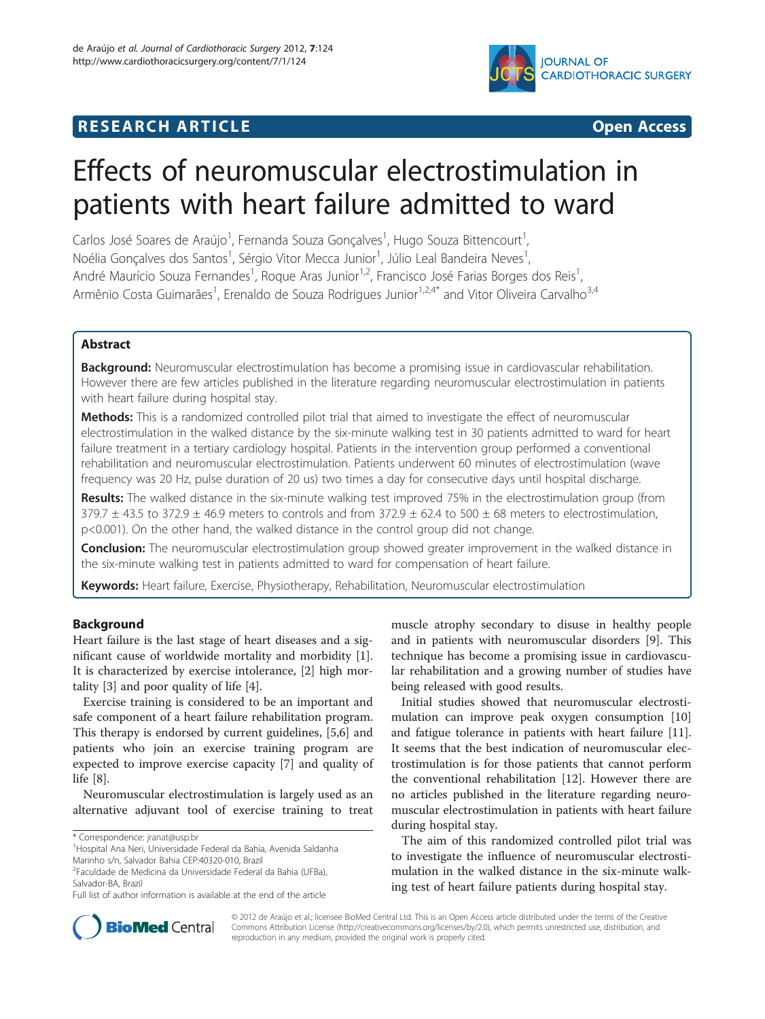

# **RESEARCH ARTICLE Example 2014 The SEAR CH ACCESS**

# Effects of neuromuscular electrostimulation in patients with heart failure admitted to ward

Carlos José Soares de Araújo<sup>1</sup>, Fernanda Souza Gonçalves<sup>1</sup>, Hugo Souza Bittencourt<sup>1</sup> , Noélia Gonçalves dos Santos<sup>1</sup>, Sérgio Vitor Mecca Junior<sup>1</sup>, Júlio Leal Bandeira Neves<sup>1</sup> , André Maurício Souza Fernandes<sup>1</sup>, Roque Aras Junior<sup>1,2</sup>, Francisco José Farias Borges dos Reis<sup>1</sup> , Armênio Costa Guimarães<sup>1</sup>, Erenaldo de Souza Rodrigues Junior<sup>1,2,4\*</sup> and Vitor Oliveira Carvalho<sup>3,4</sup>

# Abstract

Background: Neuromuscular electrostimulation has become a promising issue in cardiovascular rehabilitation. However there are few articles published in the literature regarding neuromuscular electrostimulation in patients with heart failure during hospital stay.

**Methods:** This is a randomized controlled pilot trial that aimed to investigate the effect of neuromuscular electrostimulation in the walked distance by the six-minute walking test in 30 patients admitted to ward for heart failure treatment in a tertiary cardiology hospital. Patients in the intervention group performed a conventional rehabilitation and neuromuscular electrostimulation. Patients underwent 60 minutes of electrostimulation (wave frequency was 20 Hz, pulse duration of 20 us) two times a day for consecutive days until hospital discharge.

Results: The walked distance in the six-minute walking test improved 75% in the electrostimulation group (from  $379.7 \pm 43.5$  to  $372.9 \pm 46.9$  meters to controls and from  $372.9 \pm 62.4$  to  $500 \pm 68$  meters to electrostimulation, p<0.001). On the other hand, the walked distance in the control group did not change.

Conclusion: The neuromuscular electrostimulation group showed greater improvement in the walked distance in the six-minute walking test in patients admitted to ward for compensation of heart failure.

Keywords: Heart failure, Exercise, Physiotherapy, Rehabilitation, Neuromuscular electrostimulation

# Background

Heart failure is the last stage of heart diseases and a significant cause of worldwide mortality and morbidity [\[1](#page-3-0)]. It is characterized by exercise intolerance, [\[2](#page-3-0)] high mortality [\[3\]](#page-4-0) and poor quality of life [\[4\]](#page-4-0).

Exercise training is considered to be an important and safe component of a heart failure rehabilitation program. This therapy is endorsed by current guidelines, [\[5,6](#page-4-0)] and patients who join an exercise training program are expected to improve exercise capacity [\[7](#page-4-0)] and quality of life [\[8](#page-4-0)].

Neuromuscular electrostimulation is largely used as an alternative adjuvant tool of exercise training to treat

muscle atrophy secondary to disuse in healthy people and in patients with neuromuscular disorders [[9\]](#page-4-0). This technique has become a promising issue in cardiovascular rehabilitation and a growing number of studies have being released with good results.

Initial studies showed that neuromuscular electrostimulation can improve peak oxygen consumption [[10](#page-4-0)] and fatigue tolerance in patients with heart failure [\[11](#page-4-0)]. It seems that the best indication of neuromuscular electrostimulation is for those patients that cannot perform the conventional rehabilitation [[12](#page-4-0)]. However there are no articles published in the literature regarding neuromuscular electrostimulation in patients with heart failure during hospital stay.

The aim of this randomized controlled pilot trial was to investigate the influence of neuromuscular electrostimulation in the walked distance in the six-minute walking test of heart failure patients during hospital stay.



© 2012 de Araújo et al.; licensee BioMed Central Ltd. This is an Open Access article distributed under the terms of the Creative Commons Attribution License [\(http://creativecommons.org/licenses/by/2.0\)](http://creativecommons.org/licenses/by/2.0), which permits unrestricted use, distribution, and reproduction in any medium, provided the original work is properly cited.

<sup>\*</sup> Correspondence: [jranat@usp.br](mailto:jranat@usp.br) <sup>1</sup>

Hospital Ana Neri, Universidade Federal da Bahia, Avenida Saldanha Marinho s/n, Salvador Bahia CEP:40320-010, Brazil

<sup>2</sup> Faculdade de Medicina da Universidade Federal da Bahia (UFBa), Salvador-BA, Brazil

Full list of author information is available at the end of the article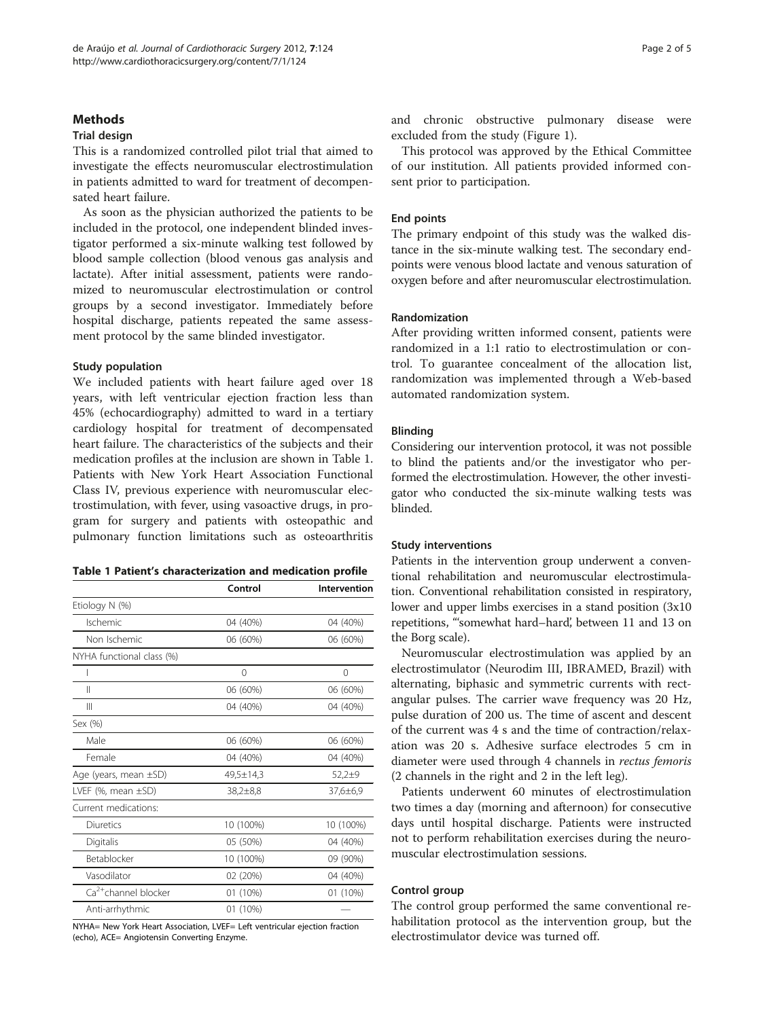#### <span id="page-1-0"></span>**Methods**

## Trial design

This is a randomized controlled pilot trial that aimed to investigate the effects neuromuscular electrostimulation in patients admitted to ward for treatment of decompensated heart failure.

As soon as the physician authorized the patients to be included in the protocol, one independent blinded investigator performed a six-minute walking test followed by blood sample collection (blood venous gas analysis and lactate). After initial assessment, patients were randomized to neuromuscular electrostimulation or control groups by a second investigator. Immediately before hospital discharge, patients repeated the same assessment protocol by the same blinded investigator.

## Study population

We included patients with heart failure aged over 18 years, with left ventricular ejection fraction less than 45% (echocardiography) admitted to ward in a tertiary cardiology hospital for treatment of decompensated heart failure. The characteristics of the subjects and their medication profiles at the inclusion are shown in Table 1. Patients with New York Heart Association Functional Class IV, previous experience with neuromuscular electrostimulation, with fever, using vasoactive drugs, in program for surgery and patients with osteopathic and pulmonary function limitations such as osteoarthritis

# Table 1 Patient's characterization and medication profile

|                                  | Control   | Intervention |  |
|----------------------------------|-----------|--------------|--|
| Etiology N (%)                   |           |              |  |
| Ischemic                         | 04 (40%)  | 04 (40%)     |  |
| Non Ischemic                     | 06 (60%)  | 06 (60%)     |  |
| NYHA functional class (%)        |           |              |  |
|                                  | 0         | 0            |  |
| Ш                                | 06 (60%)  | 06 (60%)     |  |
| Ш                                | 04 (40%)  | 04 (40%)     |  |
| Sex (%)                          |           |              |  |
| Male                             | 06 (60%)  | 06 (60%)     |  |
| Female                           | 04 (40%)  | 04 (40%)     |  |
| Age (years, mean $\pm$ SD)       | 49,5±14,3 | $52,2+9$     |  |
| LVEF $(\%$ , mean $\pm$ SD)      | 38,2±8,8  | 37,6±6,9     |  |
| Current medications:             |           |              |  |
| Diuretics                        | 10 (100%) | 10 (100%)    |  |
| Digitalis                        | 05 (50%)  | 04 (40%)     |  |
| Betablocker                      | 10 (100%) | 09 (90%)     |  |
| Vasodilator                      | 02 (20%)  | 04 (40%)     |  |
| Ca <sup>2+</sup> channel blocker | 01 (10%)  | 01 (10%)     |  |
| Anti-arrhythmic                  | 01 (10%)  |              |  |

NYHA= New York Heart Association, LVEF= Left ventricular ejection fraction (echo), ACE= Angiotensin Converting Enzyme.

and chronic obstructive pulmonary disease were excluded from the study (Figure [1](#page-2-0)).

This protocol was approved by the Ethical Committee of our institution. All patients provided informed consent prior to participation.

#### End points

The primary endpoint of this study was the walked distance in the six-minute walking test. The secondary endpoints were venous blood lactate and venous saturation of oxygen before and after neuromuscular electrostimulation.

# Randomization

After providing written informed consent, patients were randomized in a 1:1 ratio to electrostimulation or control. To guarantee concealment of the allocation list, randomization was implemented through a Web-based automated randomization system.

#### Blinding

Considering our intervention protocol, it was not possible to blind the patients and/or the investigator who performed the electrostimulation. However, the other investigator who conducted the six-minute walking tests was blinded.

#### Study interventions

Patients in the intervention group underwent a conventional rehabilitation and neuromuscular electrostimulation. Conventional rehabilitation consisted in respiratory, lower and upper limbs exercises in a stand position (3x10 repetitions, "'somewhat hard–hard', between 11 and 13 on the Borg scale).

Neuromuscular electrostimulation was applied by an electrostimulator (Neurodim III, IBRAMED, Brazil) with alternating, biphasic and symmetric currents with rectangular pulses. The carrier wave frequency was 20 Hz, pulse duration of 200 us. The time of ascent and descent of the current was 4 s and the time of contraction/relaxation was 20 s. Adhesive surface electrodes 5 cm in diameter were used through 4 channels in rectus femoris (2 channels in the right and 2 in the left leg).

Patients underwent 60 minutes of electrostimulation two times a day (morning and afternoon) for consecutive days until hospital discharge. Patients were instructed not to perform rehabilitation exercises during the neuromuscular electrostimulation sessions.

# Control group

The control group performed the same conventional rehabilitation protocol as the intervention group, but the electrostimulator device was turned off.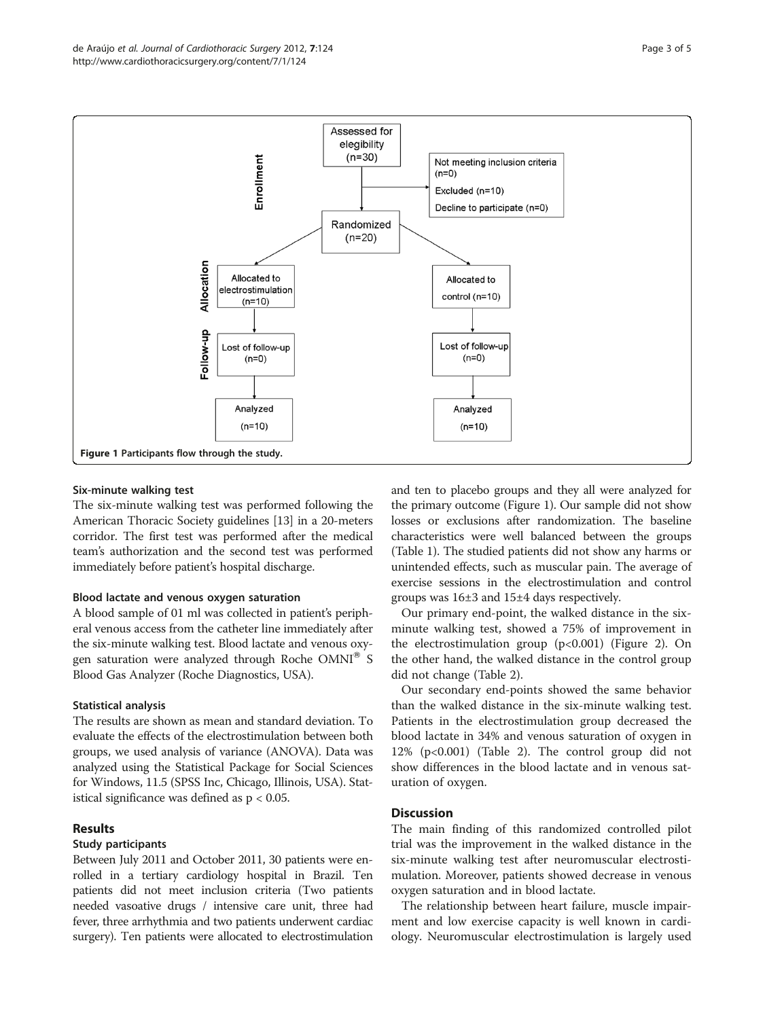<span id="page-2-0"></span>

## Six-minute walking test

The six-minute walking test was performed following the American Thoracic Society guidelines [[13](#page-4-0)] in a 20-meters corridor. The first test was performed after the medical team's authorization and the second test was performed immediately before patient's hospital discharge.

## Blood lactate and venous oxygen saturation

A blood sample of 01 ml was collected in patient's peripheral venous access from the catheter line immediately after the six-minute walking test. Blood lactate and venous oxygen saturation were analyzed through Roche  $OMNI^{\omega}$  S Blood Gas Analyzer (Roche Diagnostics, USA).

# Statistical analysis

The results are shown as mean and standard deviation. To evaluate the effects of the electrostimulation between both groups, we used analysis of variance (ANOVA). Data was analyzed using the Statistical Package for Social Sciences for Windows, 11.5 (SPSS Inc, Chicago, Illinois, USA). Statistical significance was defined as  $p < 0.05$ .

# Results

#### Study participants

Between July 2011 and October 2011, 30 patients were enrolled in a tertiary cardiology hospital in Brazil. Ten patients did not meet inclusion criteria (Two patients needed vasoative drugs / intensive care unit, three had fever, three arrhythmia and two patients underwent cardiac surgery). Ten patients were allocated to electrostimulation and ten to placebo groups and they all were analyzed for the primary outcome (Figure 1). Our sample did not show losses or exclusions after randomization. The baseline characteristics were well balanced between the groups (Table [1](#page-1-0)). The studied patients did not show any harms or unintended effects, such as muscular pain. The average of exercise sessions in the electrostimulation and control groups was 16±3 and 15±4 days respectively.

Our primary end-point, the walked distance in the sixminute walking test, showed a 75% of improvement in the electrostimulation group  $(p<0.001)$  (Figure [2\)](#page-3-0). On the other hand, the walked distance in the control group did not change (Table [2](#page-3-0)).

Our secondary end-points showed the same behavior than the walked distance in the six-minute walking test. Patients in the electrostimulation group decreased the blood lactate in 34% and venous saturation of oxygen in 12% (p<0.001) (Table [2\)](#page-3-0). The control group did not show differences in the blood lactate and in venous saturation of oxygen.

# **Discussion**

The main finding of this randomized controlled pilot trial was the improvement in the walked distance in the six-minute walking test after neuromuscular electrostimulation. Moreover, patients showed decrease in venous oxygen saturation and in blood lactate.

The relationship between heart failure, muscle impairment and low exercise capacity is well known in cardiology. Neuromuscular electrostimulation is largely used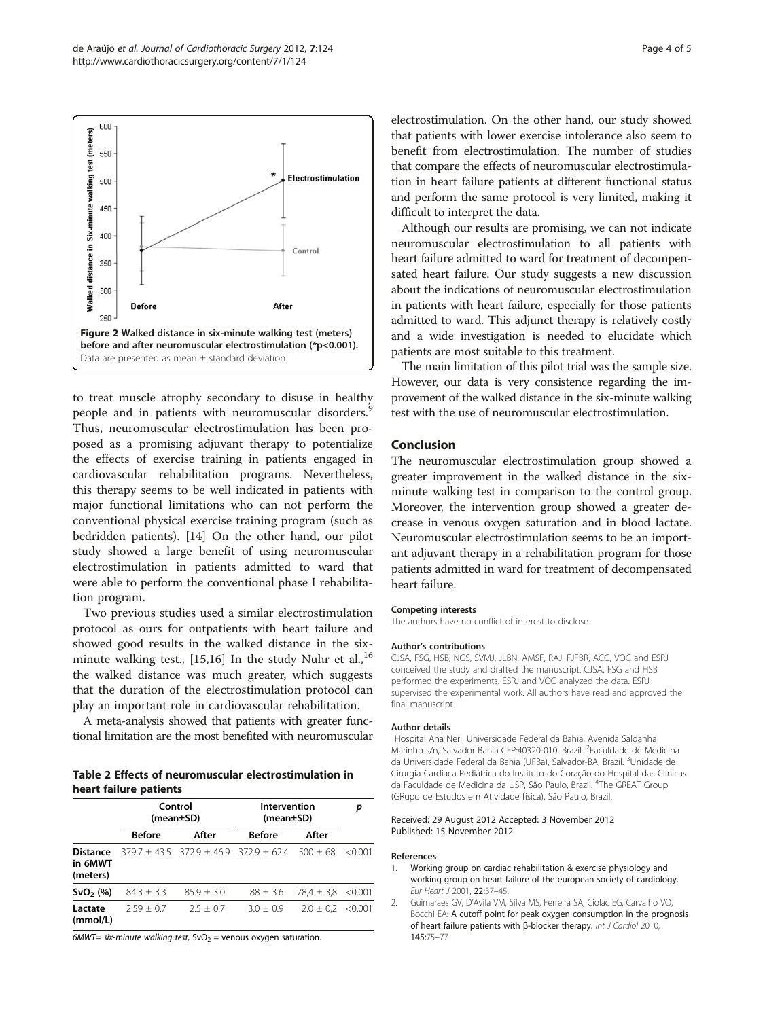<span id="page-3-0"></span>

to treat muscle atrophy secondary to disuse in healthy people and in patients with neuromuscular disorders.<sup>9</sup> Thus, neuromuscular electrostimulation has been proposed as a promising adjuvant therapy to potentialize the effects of exercise training in patients engaged in cardiovascular rehabilitation programs. Nevertheless, this therapy seems to be well indicated in patients with major functional limitations who can not perform the conventional physical exercise training program (such as bedridden patients). [[14](#page-4-0)] On the other hand, our pilot study showed a large benefit of using neuromuscular electrostimulation in patients admitted to ward that were able to perform the conventional phase I rehabilitation program.

Two previous studies used a similar electrostimulation protocol as ours for outpatients with heart failure and showed good results in the walked distance in the six-minute walking test., [[15,16\]](#page-4-0) In the study Nuhr et al.,  $^{16}$ the walked distance was much greater, which suggests that the duration of the electrostimulation protocol can play an important role in cardiovascular rehabilitation.

A meta-analysis showed that patients with greater functional limitation are the most benefited with neuromuscular

Table 2 Effects of neuromuscular electrostimulation in heart failure patients

|                                        | Control<br>(mean±SD) |               | Intervention<br>(mean±SD)                             |                       | р       |
|----------------------------------------|----------------------|---------------|-------------------------------------------------------|-----------------------|---------|
|                                        | <b>Before</b>        | After         | <b>Before</b>                                         | After                 |         |
| <b>Distance</b><br>in 6MWT<br>(meters) |                      |               | $379.7 + 43.5$ $372.9 + 46.9$ $372.9 + 62.4$ 500 + 68 |                       | < 0.001 |
| $SvO2$ (%)                             | $84.3 + 3.3$         | $85.9 + 3.0$  | $88 \pm 3.6$                                          | $78.4 \pm 3.8$ <0.001 |         |
| Lactate<br>(mmol/L)                    | $2.59 + 0.7$         | $7.5 \pm 0.7$ | $3.0 + 0.9$                                           | $2.0 \pm 0.2$         | < 0.001 |

6MWT= six-minute walking test,  $SvO<sub>2</sub>$  = venous oxygen saturation.

electrostimulation. On the other hand, our study showed that patients with lower exercise intolerance also seem to benefit from electrostimulation. The number of studies that compare the effects of neuromuscular electrostimulation in heart failure patients at different functional status and perform the same protocol is very limited, making it difficult to interpret the data.

Although our results are promising, we can not indicate neuromuscular electrostimulation to all patients with heart failure admitted to ward for treatment of decompensated heart failure. Our study suggests a new discussion about the indications of neuromuscular electrostimulation in patients with heart failure, especially for those patients admitted to ward. This adjunct therapy is relatively costly and a wide investigation is needed to elucidate which patients are most suitable to this treatment.

The main limitation of this pilot trial was the sample size. However, our data is very consistence regarding the improvement of the walked distance in the six-minute walking test with the use of neuromuscular electrostimulation.

#### Conclusion

The neuromuscular electrostimulation group showed a greater improvement in the walked distance in the sixminute walking test in comparison to the control group. Moreover, the intervention group showed a greater decrease in venous oxygen saturation and in blood lactate. Neuromuscular electrostimulation seems to be an important adjuvant therapy in a rehabilitation program for those patients admitted in ward for treatment of decompensated heart failure.

#### Competing interests

The authors have no conflict of interest to disclose.

#### Author's contributions

CJSA, FSG, HSB, NGS, SVMJ, JLBN, AMSF, RAJ, FJFBR, ACG, VOC and ESRJ conceived the study and drafted the manuscript. CJSA, FSG and HSB performed the experiments. ESRJ and VOC analyzed the data. ESRJ supervised the experimental work. All authors have read and approved the final manuscript.

#### Author details

1 Hospital Ana Neri, Universidade Federal da Bahia, Avenida Saldanha Marinho s/n, Salvador Bahia CEP:40320-010, Brazil. <sup>2</sup>Faculdade de Medicina da Universidade Federal da Bahia (UFBa), Salvador-BA, Brazil. <sup>3</sup>Unidade de Cirurgia Cardíaca Pediátrica do Instituto do Coração do Hospital das Clínicas da Faculdade de Medicina da USP, São Paulo, Brazil. <sup>4</sup>The GREAT Group (GRupo de Estudos em Atividade física), São Paulo, Brazil.

#### Received: 29 August 2012 Accepted: 3 November 2012 Published: 15 November 2012

#### References

- Working group on cardiac rehabilitation & exercise physiology and working group on heart failure of the european society of cardiology. Eur Heart J 2001, 22:37–45.
- 2. Guimaraes GV, D'Avila VM, Silva MS, Ferreira SA, Ciolac EG, Carvalho VO, Bocchi EA: A cutoff point for peak oxygen consumption in the prognosis of heart failure patients with β-blocker therapy. Int J Cardiol 2010, 145:75–77.